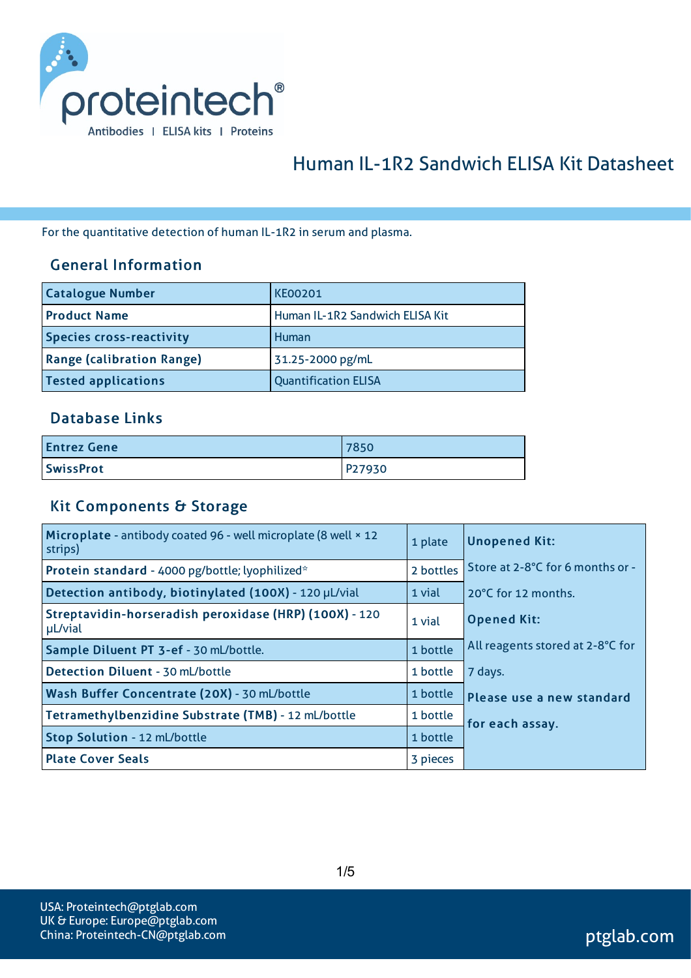

# Human IL-1R2 Sandwich ELISA Kit Datasheet

For the quantitative detection of human IL-1R2 in serum and plasma.

#### General Information

| <b>Catalogue Number</b>          | <b>KE00201</b>                  |
|----------------------------------|---------------------------------|
| <b>Product Name</b>              | Human IL-1R2 Sandwich ELISA Kit |
| <b>Species cross-reactivity</b>  | Human                           |
| <b>Range (calibration Range)</b> | 31.25-2000 pg/mL                |
| <b>Tested applications</b>       | <b>Quantification ELISA</b>     |

#### Database Links

| <b>Entrez Gene</b> | 7850   |
|--------------------|--------|
| <b>SwissProt</b>   | P27930 |

## Kit Components & Storage

| Microplate - antibody coated 96 - well microplate (8 well × 12<br>strips) | 1 plate   | <b>Unopened Kit:</b>             |
|---------------------------------------------------------------------------|-----------|----------------------------------|
| Protein standard - 4000 pg/bottle; lyophilized*                           | 2 bottles | Store at 2-8°C for 6 months or - |
| Detection antibody, biotinylated (100X) - 120 µL/vial                     | 1 vial    | 20°C for 12 months.              |
| Streptavidin-horseradish peroxidase (HRP) (100X) - 120<br>µL/vial         | 1 vial    | <b>Opened Kit:</b>               |
| Sample Diluent PT 3-ef - 30 mL/bottle.                                    | 1 bottle  | All reagents stored at 2-8°C for |
| Detection Diluent - 30 mL/bottle                                          | 1 bottle  | 7 days.                          |
| Wash Buffer Concentrate (20X) - 30 mL/bottle                              | 1 bottle  | Please use a new standard        |
| Tetramethylbenzidine Substrate (TMB) - 12 mL/bottle                       |           | for each assay.                  |
| Stop Solution - 12 mL/bottle                                              | 1 bottle  |                                  |
| <b>Plate Cover Seals</b>                                                  | 3 pieces  |                                  |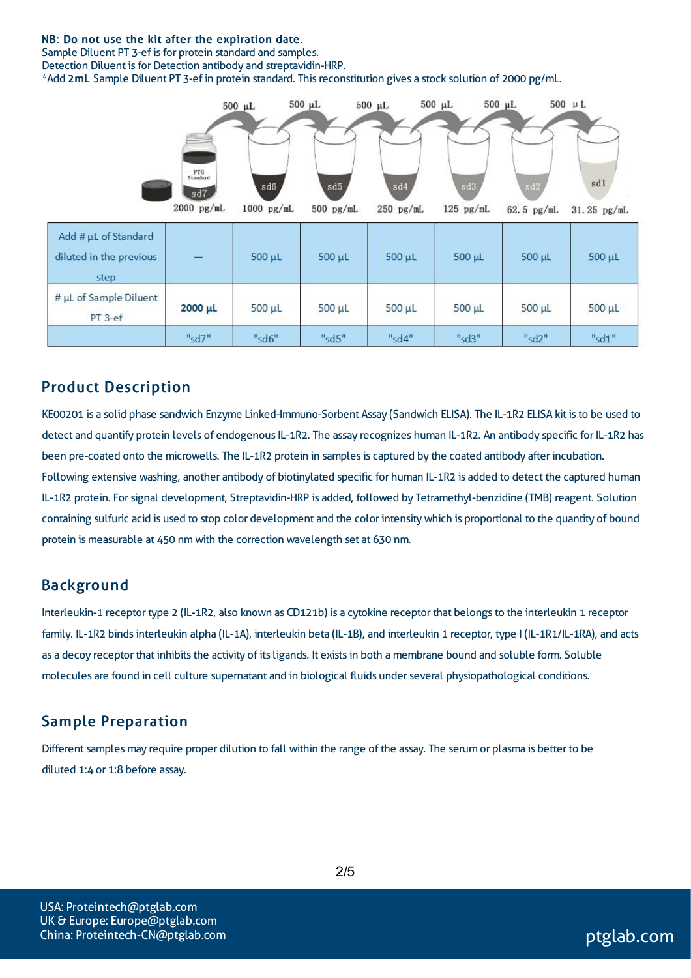#### NB: Do not use the kit after the expiration date.

Sample Diluent PT 3-ef is for protein standard and samples. Detection Diluent is for Detection antibody and streptavidin-HRP. \*Add 2mL Sample Diluent PT 3-ef in protein standard. Thisreconstitution gives a stock solution of 2000 pg/mL.



## Product Description

KE00201 is a solid phase sandwich Enzyme Linked-Immuno-Sorbent Assay (Sandwich ELISA). The IL-1R2 ELISA kit isto be used to detect and quantify protein levels of endogenous IL-1R2. The assay recognizes human IL-1R2. An antibody specific for IL-1R2 has been pre-coated onto the microwells. The IL-1R2 protein in samples is captured by the coated antibody after incubation. Following extensive washing, another antibody of biotinylated specific for human IL-1R2 is added to detect the captured human IL-1R2 protein. Forsignal development, Streptavidin-HRP is added, followed by Tetramethyl-benzidine (TMB) reagent. Solution containing sulfuric acid is used to stop color development and the color intensitywhich is proportional to the quantity of bound protein is measurable at 450 nm with the correction wavelength set at 630 nm.

#### Background

Interleukin-1 receptor type 2 (IL-1R2, also known as CD121b) is a cytokine receptor that belongsto the interleukin 1 receptor family. IL-1R2 binds interleukin alpha (IL-1A), interleukin beta (IL-1B), and interleukin 1 receptor, type I (IL-1R1/IL-1RA), and acts as a decoy receptor that inhibits the activity of its ligands. It exists in both a membrane bound and soluble form. Soluble molecules are found in cell culture supernatant and in biological fluids underseveral physiopathological conditions.

#### Sample Preparation

Different samples may require proper dilution to fall within the range of the assay. The serum or plasma is better to be diluted 1:4 or 1:8 before assay.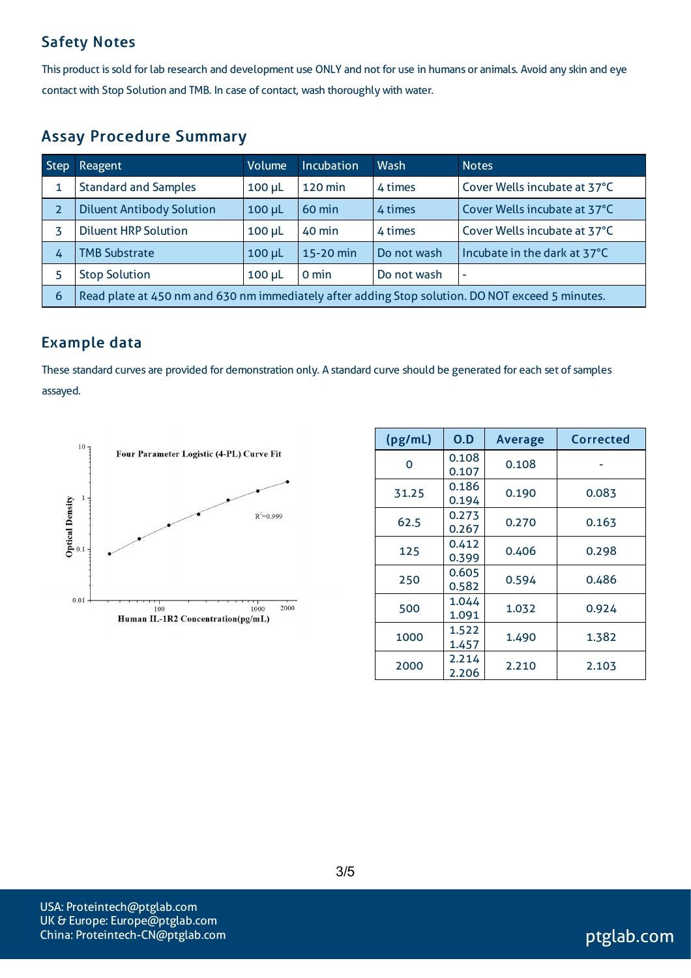## Safety Notes

This product is sold for lab research and development use ONLY and not for use in humans or animals. Avoid any skin and eye contact with Stop Solution and TMB. In case of contact, wash thoroughly with water.

## Assay Procedure Summary

| <b>Step</b>    | Reagent                                                                                          | <b>Volume</b> | <b>Incubation</b> | Wash        | <b>Notes</b>                 |
|----------------|--------------------------------------------------------------------------------------------------|---------------|-------------------|-------------|------------------------------|
| 1              | <b>Standard and Samples</b>                                                                      | $100 \mu L$   | 120 min           | 4 times     | Cover Wells incubate at 37°C |
| $\overline{2}$ | <b>Diluent Antibody Solution</b>                                                                 | $100 \mu L$   | 60 min            | 4 times     | Cover Wells incubate at 37°C |
|                | <b>Diluent HRP Solution</b>                                                                      | $100 \mu L$   | 40 min            | 4 times     | Cover Wells incubate at 37°C |
| 4              | <b>TMB Substrate</b>                                                                             | $100 \mu L$   | 15-20 min         | Do not wash | Incubate in the dark at 37°C |
|                | <b>Stop Solution</b>                                                                             | $100$ $\mu$ L | 0 min             | Do not wash | ٠                            |
| 6              | Read plate at 450 nm and 630 nm immediately after adding Stop solution. DO NOT exceed 5 minutes. |               |                   |             |                              |

## Example data

These standard curves are provided for demonstration only. A standard curve should be generated for each set of samples assayed.



| (pg/mL) | 0.D            | <b>Average</b> | Corrected |
|---------|----------------|----------------|-----------|
| O       | 0.108<br>0.107 | 0.108          |           |
| 31.25   | 0.186<br>0.194 | 0.190          | 0.083     |
| 62.5    | 0.273<br>0.267 | 0.270          | 0.163     |
| 125     | 0.412<br>0.399 | 0.406          | 0.298     |
| 250     | 0.605<br>0.582 | 0.594          | 0.486     |
| 500     | 1.044<br>1.091 | 1.032          | 0.924     |
| 1000    | 1.522<br>1.457 | 1.490          | 1.382     |
| 2000    | 2.214<br>2.206 | 2.210          | 2.103     |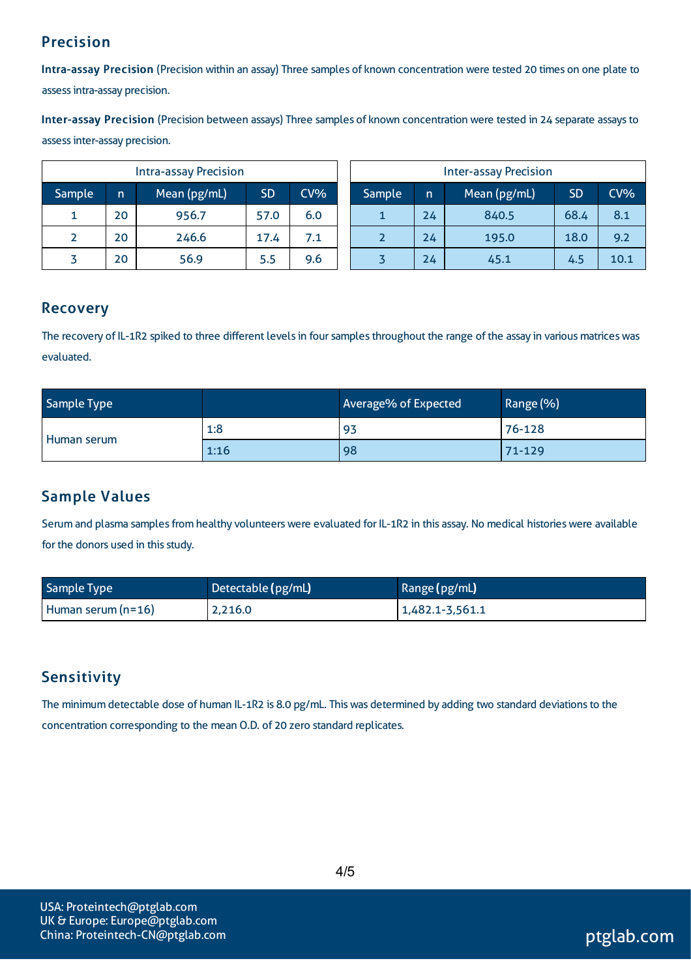## Precision

Intra-assay Precision (Precision within an assay) Three samples of known concentration were tested 20 times on one plate to assessintra-assay precision.

Inter-assay Precision (Precision between assays) Three samples of known concentration were tested in 24 separate assaysto assessinter-assay precision.

| <b>Intra-assay Precision</b> |    |              |           |        |
|------------------------------|----|--------------|-----------|--------|
| Sample                       | n  | Mean (pg/mL) | <b>SD</b> | $CV\%$ |
|                              | 20 | 956.7        | 57.0      | 6.0    |
|                              | 20 | 246.6        | 17.4      | 7.1    |
|                              | 20 | 56.9         | 5.5       | 9.6    |

| <b>Inter-assay Precision</b> |    |              |           |        |
|------------------------------|----|--------------|-----------|--------|
| Sample                       | n  | Mean (pg/mL) | <b>SD</b> | $CV\%$ |
|                              | 24 | 840.5        | 68.4      | 8.1    |
|                              | 24 | 195.0        | 18.0      | 9.2    |
|                              | 24 | 45.1         | 4.5       | 10.1   |

## Recovery

The recovery of IL-1R2 spiked to three different levels in four samples throughout the range of the assay in various matrices was evaluated.

| Sample Type |      | Average% of Expected | Range (%) |
|-------------|------|----------------------|-----------|
| Human serum | 1:8  | 93                   | 76-128    |
|             | 1:16 | 98                   | 71-129    |

## Sample Values

Serum and plasma samples from healthy volunteers were evaluated for IL-1R2 in this assay. No medical histories were available for the donors used in this study.

| <b>Sample Type</b>   | Detectable (pg/mL) | Range (pg/mL)   |
|----------------------|--------------------|-----------------|
| Human serum $(n=16)$ | 2,216.0            | 1,482.1-3,561.1 |

## Sensitivity

The minimum detectable dose of human IL-1R2 is 8.0 pg/mL. This was determined by adding two standard deviations to the concentration corresponding to the mean O.D. of 20 zero standard replicates.